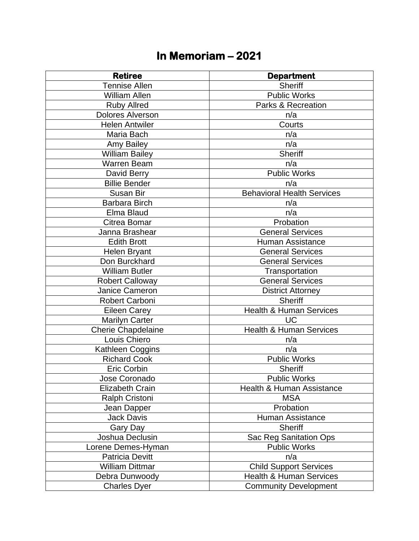## **In Memoriam – 2021**

| <b>Retiree</b>            | <b>Department</b>                  |
|---------------------------|------------------------------------|
| <b>Tennise Allen</b>      | <b>Sheriff</b>                     |
| William Allen             | <b>Public Works</b>                |
| <b>Ruby Allred</b>        | <b>Parks &amp; Recreation</b>      |
| <b>Dolores Alverson</b>   | n/a                                |
| <b>Helen Antwiler</b>     | Courts                             |
| Maria Bach                | n/a                                |
| Amy Bailey                | n/a                                |
| <b>William Bailey</b>     | <b>Sheriff</b>                     |
| <b>Warren Beam</b>        | n/a                                |
| David Berry               | <b>Public Works</b>                |
| <b>Billie Bender</b>      | n/a                                |
| <b>Susan Bir</b>          | <b>Behavioral Health Services</b>  |
| <b>Barbara Birch</b>      | n/a                                |
| Elma Blaud                | n/a                                |
| Citrea Bomar              | Probation                          |
| Janna Brashear            | <b>General Services</b>            |
| <b>Edith Brott</b>        | <b>Human Assistance</b>            |
| <b>Helen Bryant</b>       | <b>General Services</b>            |
| Don Burckhard             | <b>General Services</b>            |
| <b>William Butler</b>     | Transportation                     |
| <b>Robert Calloway</b>    | <b>General Services</b>            |
| Janice Cameron            | <b>District Attorney</b>           |
| Robert Carboni            | <b>Sheriff</b>                     |
| <b>Eileen Carey</b>       | <b>Health &amp; Human Services</b> |
| <b>Marilyn Carter</b>     | <b>UC</b>                          |
| <b>Cherie Chapdelaine</b> | <b>Health &amp; Human Services</b> |
| Louis Chiero              | n/a                                |
| Kathleen Coggins          | n/a                                |
| <b>Richard Cook</b>       | <b>Public Works</b>                |
| <b>Eric Corbin</b>        | <b>Sheriff</b>                     |
| Jose Coronado             | Public Works                       |
| <b>Elizabeth Crain</b>    | Health & Human Assistance          |
| <b>Ralph Cristoni</b>     | <b>MSA</b>                         |
| Jean Dapper               | Probation                          |
| <b>Jack Davis</b>         | <b>Human Assistance</b>            |
| Gary Day                  | <b>Sheriff</b>                     |
| Joshua Declusin           | Sac Reg Sanitation Ops             |
| Lorene Demes-Hyman        | <b>Public Works</b>                |
| <b>Patricia Devitt</b>    | n/a                                |
| <b>William Dittmar</b>    | <b>Child Support Services</b>      |
| Debra Dunwoody            | <b>Health &amp; Human Services</b> |
| <b>Charles Dyer</b>       | <b>Community Development</b>       |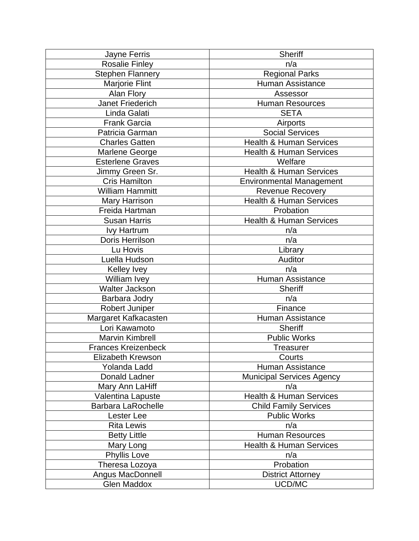| Jayne Ferris               | <b>Sheriff</b>                     |
|----------------------------|------------------------------------|
| <b>Rosalie Finley</b>      | n/a                                |
| <b>Stephen Flannery</b>    | <b>Regional Parks</b>              |
| <b>Marjorie Flint</b>      | Human Assistance                   |
| Alan Flory                 | Assessor                           |
| <b>Janet Friederich</b>    | <b>Human Resources</b>             |
| Linda Galati               | <b>SETA</b>                        |
| <b>Frank Garcia</b>        | Airports                           |
| Patricia Garman            | <b>Social Services</b>             |
| <b>Charles Gatten</b>      | <b>Health &amp; Human Services</b> |
| Marlene George             | <b>Health &amp; Human Services</b> |
| <b>Esterlene Graves</b>    | Welfare                            |
| Jimmy Green Sr.            | <b>Health &amp; Human Services</b> |
| <b>Cris Hamilton</b>       | <b>Environmental Management</b>    |
| <b>William Hammitt</b>     | Revenue Recovery                   |
| Mary Harrison              | <b>Health &amp; Human Services</b> |
| Freida Hartman             | Probation                          |
| <b>Susan Harris</b>        | <b>Health &amp; Human Services</b> |
| <b>Ivy Hartrum</b>         | n/a                                |
| Doris Herrilson            | n/a                                |
| Lu Hovis                   | Library                            |
| Luella Hudson              | Auditor                            |
| <b>Kelley Ivey</b>         | n/a                                |
| William Ivey               | <b>Human Assistance</b>            |
| Walter Jackson             | <b>Sheriff</b>                     |
| Barbara Jodry              | n/a                                |
| Robert Juniper             | Finance                            |
| Margaret Kafkacasten       | <b>Human Assistance</b>            |
| Lori Kawamoto              | <b>Sheriff</b>                     |
| <b>Marvin Kimbrell</b>     | <b>Public Works</b>                |
| <b>Frances Kreizenbeck</b> | Treasurer                          |
| Elizabeth Krewson          | Courts                             |
| Yolanda Ladd               | <b>Human Assistance</b>            |
| Donald Ladner              | <b>Municipal Services Agency</b>   |
| Mary Ann LaHiff            | n/a                                |
| Valentina Lapuste          | Health & Human Services            |
| <b>Barbara LaRochelle</b>  | <b>Child Family Services</b>       |
| Lester Lee                 | <b>Public Works</b>                |
| <b>Rita Lewis</b>          | n/a                                |
| <b>Betty Little</b>        | <b>Human Resources</b>             |
| Mary Long                  | <b>Health &amp; Human Services</b> |
| <b>Phyllis Love</b>        | n/a                                |
| Theresa Lozoya             | Probation                          |
| Angus MacDonnell           | <b>District Attorney</b>           |
| <b>Glen Maddox</b>         | UCD/MC                             |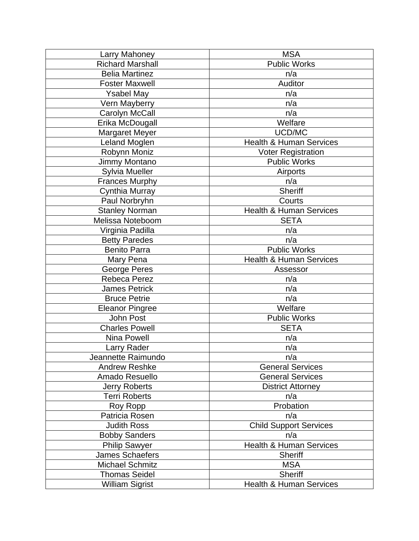| Larry Mahoney           | <b>MSA</b>                         |
|-------------------------|------------------------------------|
| <b>Richard Marshall</b> | <b>Public Works</b>                |
| <b>Belia Martinez</b>   | n/a                                |
| <b>Foster Maxwell</b>   | Auditor                            |
| <b>Ysabel May</b>       | n/a                                |
| Vern Mayberry           | n/a                                |
| Carolyn McCall          | n/a                                |
| Erika McDougall         | Welfare                            |
| <b>Margaret Meyer</b>   | UCD/MC                             |
| Leland Moglen           | <b>Health &amp; Human Services</b> |
| Robynn Moniz            | <b>Voter Registration</b>          |
| Jimmy Montano           | <b>Public Works</b>                |
| <b>Sylvia Mueller</b>   | Airports                           |
| <b>Frances Murphy</b>   | n/a                                |
| Cynthia Murray          | <b>Sheriff</b>                     |
| Paul Norbryhn           | Courts                             |
| <b>Stanley Norman</b>   | <b>Health &amp; Human Services</b> |
| Melissa Noteboom        | <b>SETA</b>                        |
| Virginia Padilla        | n/a                                |
| <b>Betty Paredes</b>    | n/a                                |
| <b>Benito Parra</b>     | <b>Public Works</b>                |
| Mary Pena               | <b>Health &amp; Human Services</b> |
| George Peres            | Assessor                           |
| Rebeca Perez            | n/a                                |
| <b>James Petrick</b>    | n/a                                |
| <b>Bruce Petrie</b>     | n/a                                |
| <b>Eleanor Pingree</b>  | Welfare                            |
| <b>John Post</b>        | <b>Public Works</b>                |
| <b>Charles Powell</b>   | <b>SETA</b>                        |
| <b>Nina Powell</b>      | n/a                                |
| Larry Rader             | n/a                                |
| Jeannette Raimundo      | n/a                                |
| <b>Andrew Reshke</b>    | <b>General Services</b>            |
| Amado Resuello          | <b>General Services</b>            |
| <b>Jerry Roberts</b>    | <b>District Attorney</b>           |
| <b>Terri Roberts</b>    | n/a                                |
| Roy Ropp                | Probation                          |
| Patricia Rosen          | n/a                                |
| <b>Judith Ross</b>      | <b>Child Support Services</b>      |
| <b>Bobby Sanders</b>    | n/a                                |
| <b>Philip Sawyer</b>    | <b>Health &amp; Human Services</b> |
| James Schaefers         | <b>Sheriff</b>                     |
| <b>Michael Schmitz</b>  | <b>MSA</b>                         |
| <b>Thomas Seidel</b>    | <b>Sheriff</b>                     |
| <b>William Sigrist</b>  | <b>Health &amp; Human Services</b> |